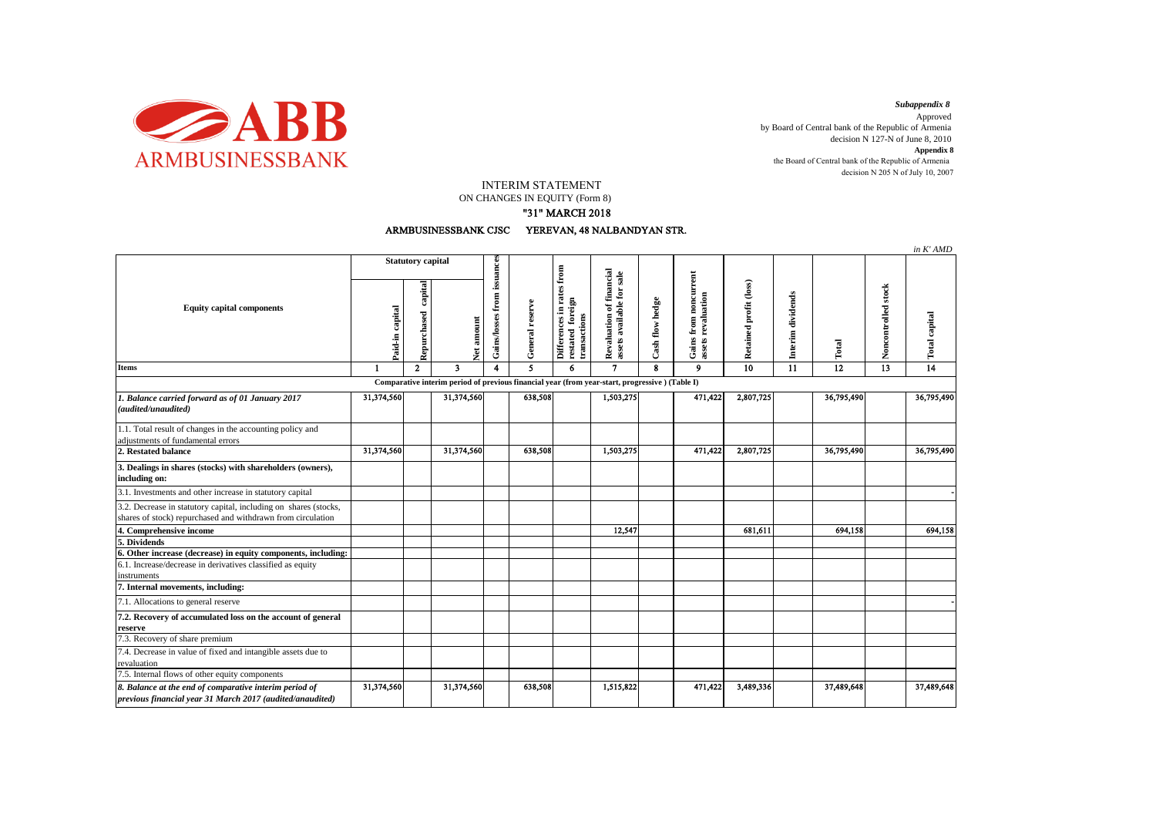

decision N 205 N of July 10, 2007 *Subappendix 8*  Approved by Board of Central bank of the Republic of Armenia decision N 127-N of June 8, 2010 **Appendix 8** the Board of Central bank of the Republic of Armenia

INTERIM STATEMENT

ON CHANGES IN EQUITY (Form 8)

"31" MARCH 2018

ARMBUSINESSBANK CJSC YEREVAN, 48 NALBANDYAN STR.

|                                                                                                                                                                                 |                          |                        |                                                                                                |                             |                 |                                                               |                                                       |                 |                                                     |                        |                   |            |                     | in K'AMD        |
|---------------------------------------------------------------------------------------------------------------------------------------------------------------------------------|--------------------------|------------------------|------------------------------------------------------------------------------------------------|-----------------------------|-----------------|---------------------------------------------------------------|-------------------------------------------------------|-----------------|-----------------------------------------------------|------------------------|-------------------|------------|---------------------|-----------------|
| <b>Equity capital components</b>                                                                                                                                                | <b>Statutory capital</b> |                        |                                                                                                |                             |                 |                                                               |                                                       |                 |                                                     |                        |                   |            |                     |                 |
|                                                                                                                                                                                 | capital<br>Paid-in       | capital<br>Repurchased | Net amount                                                                                     | Gains/losses from issuances | General reserve | Differences in rates from<br>restated foreign<br>transactions | Revaluation of financial<br>assets available for sale | Cash flow hedge | noncurrent<br>revaluation<br>Gains from<br>assets I | Retained profit (loss) | Interim dividends | Total      | Noncontrolled stock | Total capital   |
| <b>Items</b>                                                                                                                                                                    | $\mathbf{1}$             | $\overline{2}$         | $\overline{\mathbf{3}}$                                                                        | 4                           | 5               | 6                                                             | $\overline{\mathbf{z}}$                               | $\mathbf{R}$    | $\mathbf{Q}$                                        | $\overline{10}$        | 11                | 12         | 13                  | $\overline{14}$ |
|                                                                                                                                                                                 |                          |                        | Comparative interim period of previous financial year (from year-start, progressive) (Table I) |                             |                 |                                                               |                                                       |                 |                                                     |                        |                   |            |                     |                 |
| 1. Balance carried forward as of 01 January 2017<br>(audited/unaudited)                                                                                                         | 31,374,560               |                        | 31,374,560                                                                                     |                             | 638,508         |                                                               | 1,503,275                                             |                 | 471,422                                             | 2,807,725              |                   | 36,795,490 |                     | 36,795,490      |
| 1.1. Total result of changes in the accounting policy and<br>adjustments of fundamental errors                                                                                  |                          |                        |                                                                                                |                             |                 |                                                               |                                                       |                 |                                                     |                        |                   |            |                     |                 |
| 2. Restated balance                                                                                                                                                             | 31,374,560               |                        | 31,374,560                                                                                     |                             | 638,508         |                                                               | 1,503,275                                             |                 | 471,422                                             | 2,807,725              |                   | 36,795,490 |                     | 36,795,490      |
| 3. Dealings in shares (stocks) with shareholders (owners),<br>including on:                                                                                                     |                          |                        |                                                                                                |                             |                 |                                                               |                                                       |                 |                                                     |                        |                   |            |                     |                 |
| 3.1. Investments and other increase in statutory capital                                                                                                                        |                          |                        |                                                                                                |                             |                 |                                                               |                                                       |                 |                                                     |                        |                   |            |                     |                 |
| 3.2. Decrease in statutory capital, including on shares (stocks,<br>shares of stock) repurchased and withdrawn from circulation                                                 |                          |                        |                                                                                                |                             |                 |                                                               |                                                       |                 |                                                     |                        |                   |            |                     |                 |
| 4. Comprehensive income                                                                                                                                                         |                          |                        |                                                                                                |                             |                 |                                                               | 12,547                                                |                 |                                                     | 681,611                |                   | 694.158    |                     | 694,158         |
| 5. Dividends                                                                                                                                                                    |                          |                        |                                                                                                |                             |                 |                                                               |                                                       |                 |                                                     |                        |                   |            |                     |                 |
| 6. Other increase (decrease) in equity components, including:<br>6.1. Increase/decrease in derivatives classified as equity<br>instruments<br>7. Internal movements, including: |                          |                        |                                                                                                |                             |                 |                                                               |                                                       |                 |                                                     |                        |                   |            |                     |                 |
| 7.1. Allocations to general reserve                                                                                                                                             |                          |                        |                                                                                                |                             |                 |                                                               |                                                       |                 |                                                     |                        |                   |            |                     |                 |
| 7.2. Recovery of accumulated loss on the account of general<br>reserve                                                                                                          |                          |                        |                                                                                                |                             |                 |                                                               |                                                       |                 |                                                     |                        |                   |            |                     |                 |
| 7.3. Recovery of share premium                                                                                                                                                  |                          |                        |                                                                                                |                             |                 |                                                               |                                                       |                 |                                                     |                        |                   |            |                     |                 |
| 7.4. Decrease in value of fixed and intangible assets due to<br>revaluation                                                                                                     |                          |                        |                                                                                                |                             |                 |                                                               |                                                       |                 |                                                     |                        |                   |            |                     |                 |
| 7.5. Internal flows of other equity components                                                                                                                                  |                          |                        |                                                                                                |                             |                 |                                                               |                                                       |                 |                                                     |                        |                   |            |                     |                 |
| 8. Balance at the end of comparative interim period of<br>previous financial year 31 March 2017 (audited/anaudited)                                                             | 31,374,560               |                        | 31,374,560                                                                                     |                             | 638,508         |                                                               | 1,515,822                                             |                 | 471,422                                             | 3,489,336              |                   | 37,489,648 |                     | 37,489,648      |